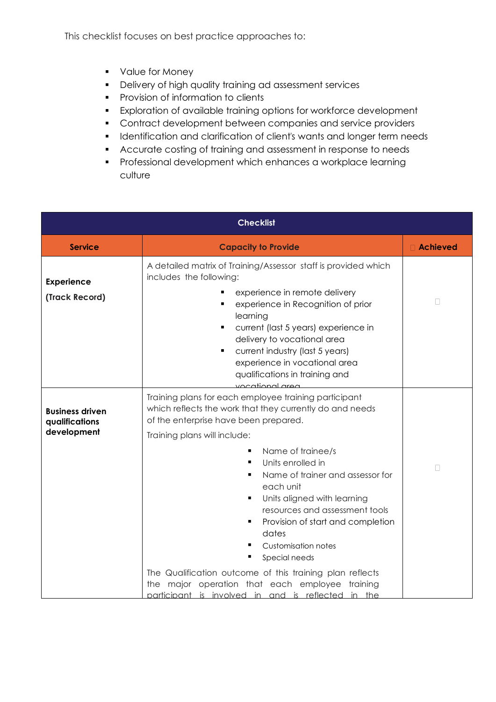This checklist focuses on best practice approaches to:

- Value for Money
- Delivery of high quality training ad assessment services
- Provision of information to clients
- Exploration of available training options for workforce development
- Contract development between companies and service providers
- **•** Identification and clarification of client's wants and longer term needs
- Accurate costing of training and assessment in response to needs
- **•** Professional development which enhances a workplace learning culture

| <b>Checklist</b>                                        |                                                                                                                                                                                                                                                                                                                                                                                                                                                                                                                                                                                                                                                         |            |
|---------------------------------------------------------|---------------------------------------------------------------------------------------------------------------------------------------------------------------------------------------------------------------------------------------------------------------------------------------------------------------------------------------------------------------------------------------------------------------------------------------------------------------------------------------------------------------------------------------------------------------------------------------------------------------------------------------------------------|------------|
| <b>Service</b>                                          | <b>Capacity to Provide</b>                                                                                                                                                                                                                                                                                                                                                                                                                                                                                                                                                                                                                              | □ Achieved |
| <b>Experience</b><br>(Track Record)                     | A detailed matrix of Training/Assessor staff is provided which<br>includes the following:<br>experience in remote delivery<br>٠<br>experience in Recognition of prior<br>٠<br>learning<br>current (last 5 years) experience in<br>٠<br>delivery to vocational area<br>current industry (last 5 years)<br>٠<br>experience in vocational area<br>qualifications in training and<br>vocational area                                                                                                                                                                                                                                                        | $\Box$     |
| <b>Business driven</b><br>qualifications<br>development | Training plans for each employee training participant<br>which reflects the work that they currently do and needs<br>of the enterprise have been prepared.<br>Training plans will include:<br>Name of trainee/s<br>п<br>Units enrolled in<br>$\blacksquare$<br>Name of trainer and assessor for<br>٠<br>each unit<br>Units aligned with learning<br>resources and assessment tools<br>Provision of start and completion<br>dates<br><b>Customisation notes</b><br>Special needs<br>The Qualification outcome of this training plan reflects<br>major operation that each employee training<br>the<br>participant is involved in and is reflected in the | П          |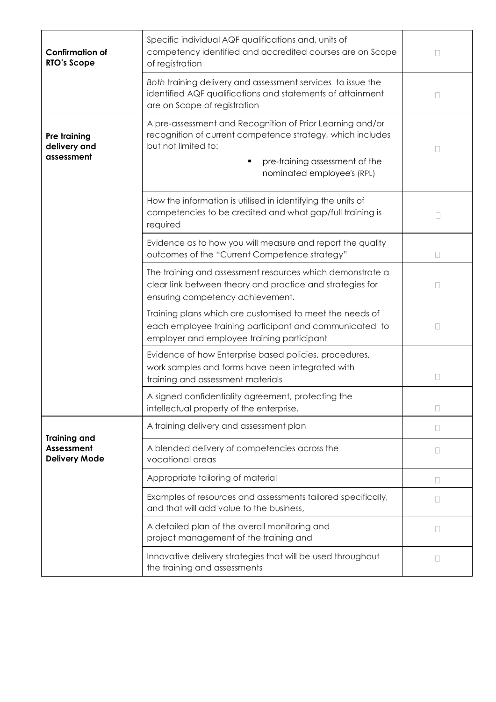| <b>Confirmation of</b><br><b>RTO's Scope</b>              | Specific individual AQF qualifications and, units of<br>competency identified and accredited courses are on Scope<br>of registration                                                                           | П      |
|-----------------------------------------------------------|----------------------------------------------------------------------------------------------------------------------------------------------------------------------------------------------------------------|--------|
|                                                           | Both training delivery and assessment services to issue the<br>identified AQF qualifications and statements of attainment<br>are on Scope of registration                                                      | П      |
| Pre training<br>delivery and<br>assessment                | A pre-assessment and Recognition of Prior Learning and/or<br>recognition of current competence strategy, which includes<br>but not limited to:<br>pre-training assessment of the<br>nominated employee's (RPL) | П      |
|                                                           | How the information is utilised in identifying the units of<br>competencies to be credited and what gap/full training is<br>required                                                                           | $\Box$ |
|                                                           | Evidence as to how you will measure and report the quality<br>outcomes of the "Current Competence strategy"                                                                                                    | $\Box$ |
|                                                           | The training and assessment resources which demonstrate a<br>clear link between theory and practice and strategies for<br>ensuring competency achievement.                                                     | П      |
|                                                           | Training plans which are customised to meet the needs of<br>each employee training participant and communicated to<br>employer and employee training participant                                               | Ш      |
|                                                           | Evidence of how Enterprise based policies, procedures,<br>work samples and forms have been integrated with<br>training and assessment materials                                                                | $\Box$ |
|                                                           | A signed confidentiality agreement, protecting the<br>intellectual property of the enterprise.                                                                                                                 |        |
|                                                           | A training delivery and assessment plan                                                                                                                                                                        | $\Box$ |
| <b>Training and</b><br>Assessment<br><b>Delivery Mode</b> | A blended delivery of competencies across the<br>vocational areas                                                                                                                                              | $\Box$ |
|                                                           | Appropriate tailoring of material                                                                                                                                                                              | П      |
|                                                           | Examples of resources and assessments tailored specifically,<br>and that will add value to the business,                                                                                                       | П      |
|                                                           | A detailed plan of the overall monitoring and<br>project management of the training and                                                                                                                        | П      |
|                                                           | Innovative delivery strategies that will be used throughout<br>the training and assessments                                                                                                                    | П      |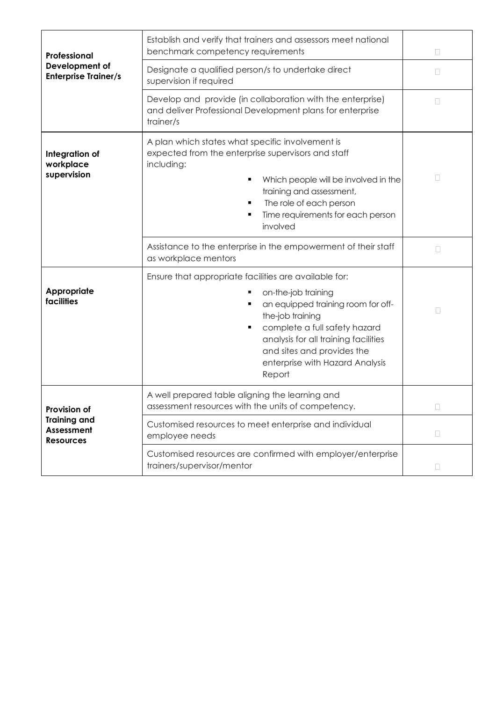| Professional<br>Development of<br><b>Enterprise Trainer/s</b>         | Establish and verify that trainers and assessors meet national<br>benchmark competency requirements                                                                                                                                         | $\Box$ |
|-----------------------------------------------------------------------|---------------------------------------------------------------------------------------------------------------------------------------------------------------------------------------------------------------------------------------------|--------|
|                                                                       | Designate a qualified person/s to undertake direct<br>supervision if required                                                                                                                                                               | $\Box$ |
|                                                                       | Develop and provide (in collaboration with the enterprise)<br>and deliver Professional Development plans for enterprise<br>trainer/s                                                                                                        | П      |
| Integration of<br>workplace<br>supervision                            | A plan which states what specific involvement is<br>expected from the enterprise supervisors and staff<br>including:<br>Which people will be involved in the<br>training and assessment,<br>The role of each person<br>٠                    | П      |
|                                                                       | Time requirements for each person<br>involved                                                                                                                                                                                               |        |
|                                                                       | Assistance to the enterprise in the empowerment of their staff<br>as workplace mentors                                                                                                                                                      | П      |
|                                                                       | Ensure that appropriate facilities are available for:                                                                                                                                                                                       |        |
| Appropriate<br>facilities                                             | on-the-job training<br>an equipped training room for off-<br>٠<br>the-job training<br>complete a full safety hazard<br>٠<br>analysis for all training facilities<br>and sites and provides the<br>enterprise with Hazard Analysis<br>Report | $\Box$ |
| Provision of<br><b>Training and</b><br>Assessment<br><b>Resources</b> | A well prepared table aligning the learning and<br>assessment resources with the units of competency.                                                                                                                                       | u      |
|                                                                       | Customised resources to meet enterprise and individual<br>employee needs                                                                                                                                                                    | $\Box$ |
|                                                                       | Customised resources are confirmed with employer/enterprise<br>trainers/supervisor/mentor                                                                                                                                                   | $\Box$ |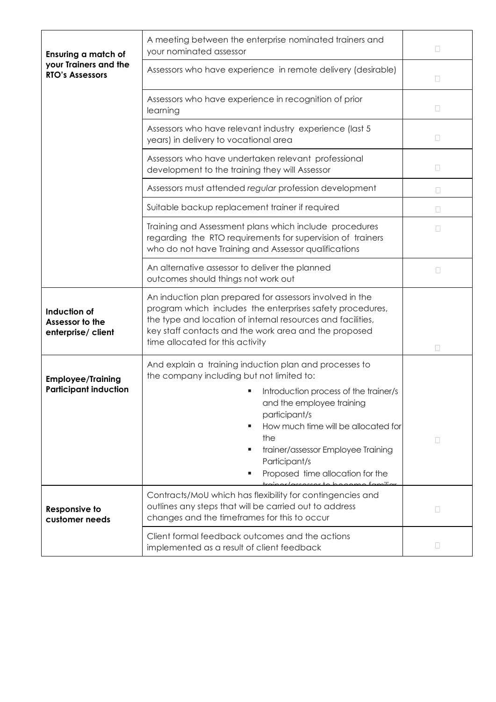| Ensuring a match of<br>your Trainers and the<br><b>RTO's Assessors</b> | A meeting between the enterprise nominated trainers and<br>your nominated assessor                                                                                                                                                                                                                                                  | П      |
|------------------------------------------------------------------------|-------------------------------------------------------------------------------------------------------------------------------------------------------------------------------------------------------------------------------------------------------------------------------------------------------------------------------------|--------|
|                                                                        | Assessors who have experience in remote delivery (desirable)                                                                                                                                                                                                                                                                        | $\Box$ |
|                                                                        | Assessors who have experience in recognition of prior<br>learning                                                                                                                                                                                                                                                                   | П      |
|                                                                        | Assessors who have relevant industry experience (last 5<br>years) in delivery to vocational area                                                                                                                                                                                                                                    | $\Box$ |
|                                                                        | Assessors who have undertaken relevant professional<br>development to the training they will Assessor                                                                                                                                                                                                                               | $\Box$ |
|                                                                        | Assessors must attended regular profession development                                                                                                                                                                                                                                                                              | П      |
|                                                                        | Suitable backup replacement trainer if required                                                                                                                                                                                                                                                                                     | П      |
|                                                                        | Training and Assessment plans which include procedures<br>regarding the RTO requirements for supervision of trainers<br>who do not have Training and Assessor qualifications                                                                                                                                                        | П      |
|                                                                        | An alternative assessor to deliver the planned<br>outcomes should things not work out                                                                                                                                                                                                                                               | u      |
| Induction of<br>Assessor to the<br>enterprise/ client                  | An induction plan prepared for assessors involved in the<br>program which includes the enterprises safety procedures,<br>the type and location of internal resources and facilities,<br>key staff contacts and the work area and the proposed<br>time allocated for this activity                                                   | П      |
| <b>Employee/Training</b><br><b>Participant induction</b>               | And explain a training induction plan and processes to<br>the company including but not limited to:<br>Introduction process of the trainer/s<br>and the employee training<br>participant/s<br>How much time will be allocated for<br>the<br>trainer/assessor Employee Training<br>Participant/s<br>Proposed time allocation for the | □      |
| <b>Responsive to</b><br>customer needs                                 | rainer/arrerer to become familiar<br>Contracts/MoU which has flexibility for contingencies and<br>outlines any steps that will be carried out to address<br>changes and the timeframes for this to occur                                                                                                                            | $\Box$ |
|                                                                        | Client formal feedback outcomes and the actions<br>implemented as a result of client feedback                                                                                                                                                                                                                                       | $\Box$ |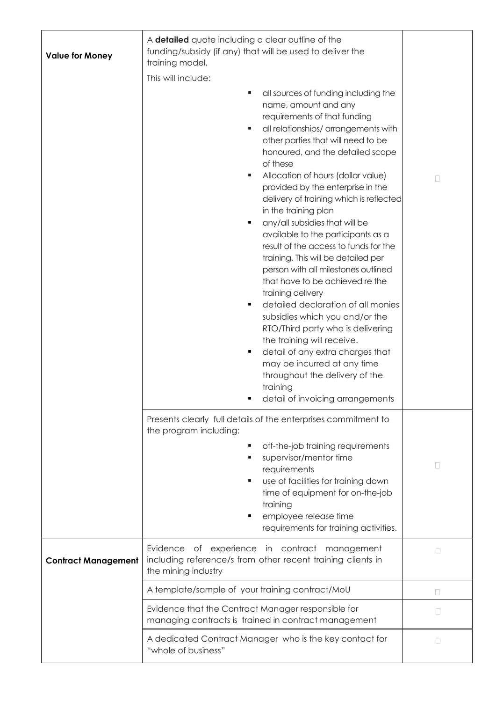| <b>Value for Money</b>     | A detailed quote including a clear outline of the<br>funding/subsidy (if any) that will be used to deliver the<br>training model.<br>This will include:<br>all sources of funding including the<br>٠                                                                                                                                                                                                                                                                                                                                                                                                                                                                                                                                                                                                                                                                                                        |                |
|----------------------------|-------------------------------------------------------------------------------------------------------------------------------------------------------------------------------------------------------------------------------------------------------------------------------------------------------------------------------------------------------------------------------------------------------------------------------------------------------------------------------------------------------------------------------------------------------------------------------------------------------------------------------------------------------------------------------------------------------------------------------------------------------------------------------------------------------------------------------------------------------------------------------------------------------------|----------------|
|                            | name, amount and any<br>requirements of that funding<br>all relationships/ arrangements with<br>٠<br>other parties that will need to be<br>honoured, and the detailed scope<br>of these<br>Allocation of hours (dollar value)<br>provided by the enterprise in the<br>delivery of training which is reflected<br>in the training plan<br>any/all subsidies that will be<br>٠<br>available to the participants as a<br>result of the access to funds for the<br>training. This will be detailed per<br>person with all milestones outlined<br>that have to be achieved re the<br>training delivery<br>detailed declaration of all monies<br>subsidies which you and/or the<br>RTO/Third party who is delivering<br>the training will receive.<br>detail of any extra charges that<br>٠<br>may be incurred at any time<br>throughout the delivery of the<br>training<br>detail of invoicing arrangements<br>п | $\Box$         |
|                            | Presents clearly full details of the enterprises commitment to<br>the program including:<br>off-the-job training requirements<br>supervisor/mentor time<br>٠<br>requirements<br>use of facilities for training down<br>time of equipment for on-the-job<br>training<br>employee release time<br>requirements for training activities.                                                                                                                                                                                                                                                                                                                                                                                                                                                                                                                                                                       | $\mathbb{R}^n$ |
| <b>Contract Management</b> | Evidence of experience in contract management<br>including reference/s from other recent training clients in<br>the mining industry                                                                                                                                                                                                                                                                                                                                                                                                                                                                                                                                                                                                                                                                                                                                                                         | П              |
|                            | A template/sample of your training contract/MoU                                                                                                                                                                                                                                                                                                                                                                                                                                                                                                                                                                                                                                                                                                                                                                                                                                                             | П              |
|                            | Evidence that the Contract Manager responsible for<br>managing contracts is trained in contract management                                                                                                                                                                                                                                                                                                                                                                                                                                                                                                                                                                                                                                                                                                                                                                                                  | П              |
|                            | A dedicated Contract Manager who is the key contact for<br>"whole of business"                                                                                                                                                                                                                                                                                                                                                                                                                                                                                                                                                                                                                                                                                                                                                                                                                              | $\mathbb{R}^n$ |